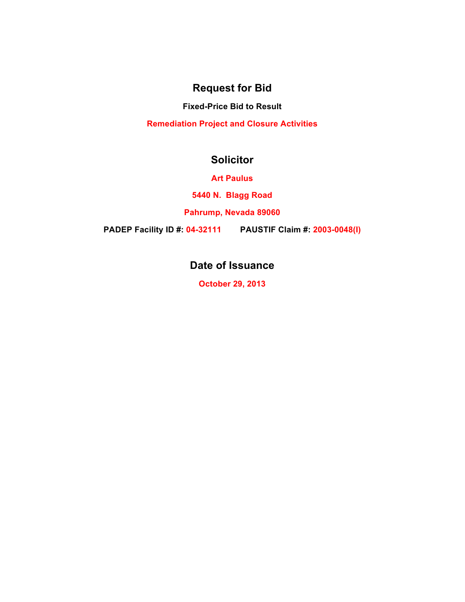### **Request for Bid**

**Fixed-Price Bid to Result**

**Remediation Project and Closure Activities**

### **Solicitor**

**Art Paulus**

**5440 N. Blagg Road**

**Pahrump, Nevada 89060**

**PADEP Facility ID #: 04-32111 PAUSTIF Claim #: 2003-0048(I)**

# **Date of Issuance**

**October 29, 2013**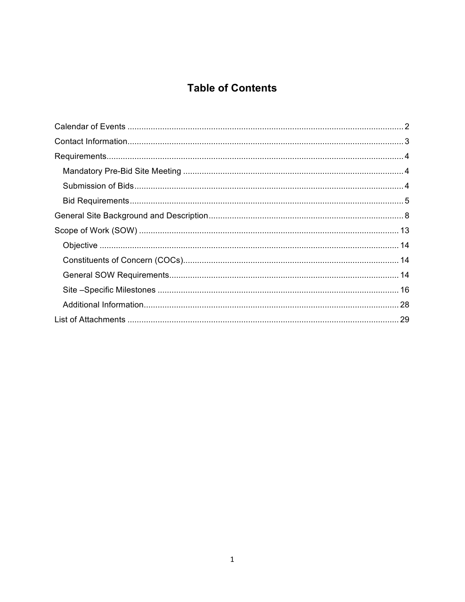# **Table of Contents**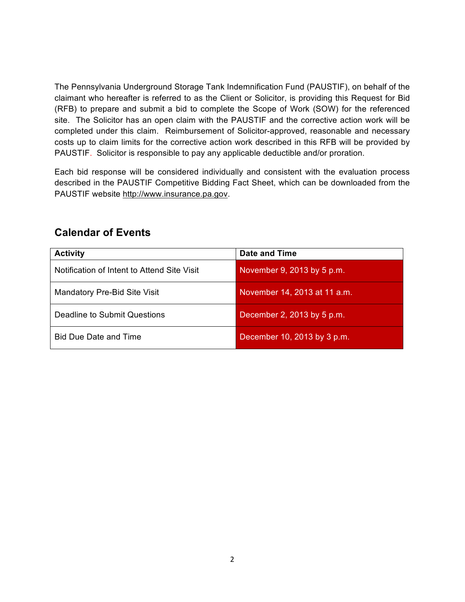The Pennsylvania Underground Storage Tank Indemnification Fund (PAUSTIF), on behalf of the claimant who hereafter is referred to as the Client or Solicitor, is providing this Request for Bid (RFB) to prepare and submit a bid to complete the Scope of Work (SOW) for the referenced site. The Solicitor has an open claim with the PAUSTIF and the corrective action work will be completed under this claim. Reimbursement of Solicitor-approved, reasonable and necessary costs up to claim limits for the corrective action work described in this RFB will be provided by PAUSTIF. Solicitor is responsible to pay any applicable deductible and/or proration.

Each bid response will be considered individually and consistent with the evaluation process described in the PAUSTIF Competitive Bidding Fact Sheet, which can be downloaded from the PAUSTIF website http://www.insurance.pa.gov.

| <b>Activity</b>                             | <b>Date and Time</b>         |
|---------------------------------------------|------------------------------|
| Notification of Intent to Attend Site Visit | November 9, 2013 by 5 p.m.   |
| Mandatory Pre-Bid Site Visit                | November 14, 2013 at 11 a.m. |
| Deadline to Submit Questions                | December 2, 2013 by 5 p.m.   |
| <b>Bid Due Date and Time</b>                | December 10, 2013 by 3 p.m.  |

### **Calendar of Events**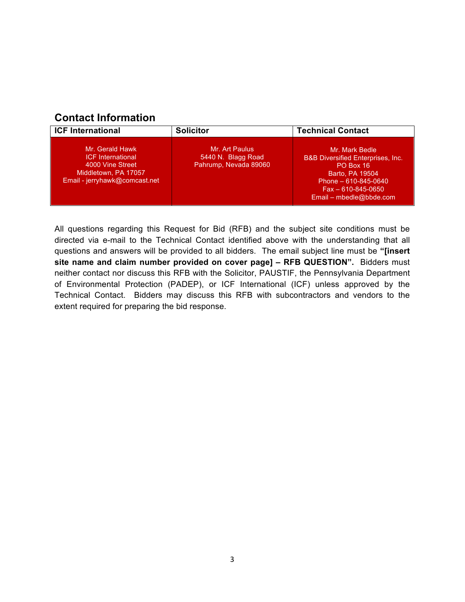# **Contact Information**

| <b>ICF International</b>                                                                                                 | <b>Solicitor</b>                                              | <b>Technical Contact</b>                                                                                                                                                      |
|--------------------------------------------------------------------------------------------------------------------------|---------------------------------------------------------------|-------------------------------------------------------------------------------------------------------------------------------------------------------------------------------|
| Mr. Gerald Hawk<br><b>ICF</b> International<br>4000 Vine Street<br>Middletown, PA 17057<br>Email - jerryhawk@comcast.net | Mr. Art Paulus<br>5440 N. Blagg Road<br>Pahrump, Nevada 89060 | Mr. Mark Bedle<br><b>B&amp;B Diversified Enterprises, Inc.</b><br>PO Box 16<br>Barto, PA 19504<br>Phone - 610-845-0640<br>$Fax - 610 - 845 - 0650$<br>Email – mbedle@bbde.com |

All questions regarding this Request for Bid (RFB) and the subject site conditions must be directed via e-mail to the Technical Contact identified above with the understanding that all questions and answers will be provided to all bidders. The email subject line must be **"[insert site name and claim number provided on cover page] – RFB QUESTION".** Bidders must neither contact nor discuss this RFB with the Solicitor, PAUSTIF, the Pennsylvania Department of Environmental Protection (PADEP), or ICF International (ICF) unless approved by the Technical Contact. Bidders may discuss this RFB with subcontractors and vendors to the extent required for preparing the bid response.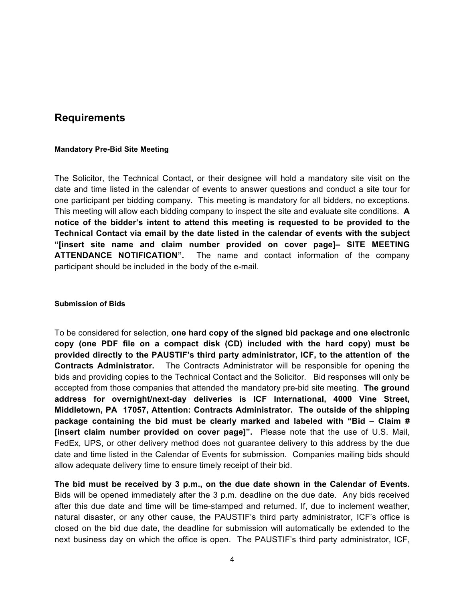### **Requirements**

### **Mandatory Pre-Bid Site Meeting**

The Solicitor, the Technical Contact, or their designee will hold a mandatory site visit on the date and time listed in the calendar of events to answer questions and conduct a site tour for one participant per bidding company. This meeting is mandatory for all bidders, no exceptions. This meeting will allow each bidding company to inspect the site and evaluate site conditions. **A notice of the bidder's intent to attend this meeting is requested to be provided to the Technical Contact via email by the date listed in the calendar of events with the subject "[insert site name and claim number provided on cover page]– SITE MEETING ATTENDANCE NOTIFICATION".** The name and contact information of the company participant should be included in the body of the e-mail.

#### **Submission of Bids**

To be considered for selection, **one hard copy of the signed bid package and one electronic copy (one PDF file on a compact disk (CD) included with the hard copy) must be provided directly to the PAUSTIF's third party administrator, ICF, to the attention of the Contracts Administrator.** The Contracts Administrator will be responsible for opening the bids and providing copies to the Technical Contact and the Solicitor. Bid responses will only be accepted from those companies that attended the mandatory pre-bid site meeting. **The ground address for overnight/next-day deliveries is ICF International, 4000 Vine Street, Middletown, PA 17057, Attention: Contracts Administrator. The outside of the shipping package containing the bid must be clearly marked and labeled with "Bid – Claim # [insert claim number provided on cover page]".** Please note that the use of U.S. Mail, FedEx, UPS, or other delivery method does not guarantee delivery to this address by the due date and time listed in the Calendar of Events for submission. Companies mailing bids should allow adequate delivery time to ensure timely receipt of their bid.

**The bid must be received by 3 p.m., on the due date shown in the Calendar of Events.** Bids will be opened immediately after the 3 p.m. deadline on the due date. Any bids received after this due date and time will be time-stamped and returned. If, due to inclement weather, natural disaster, or any other cause, the PAUSTIF's third party administrator, ICF's office is closed on the bid due date, the deadline for submission will automatically be extended to the next business day on which the office is open. The PAUSTIF's third party administrator, ICF,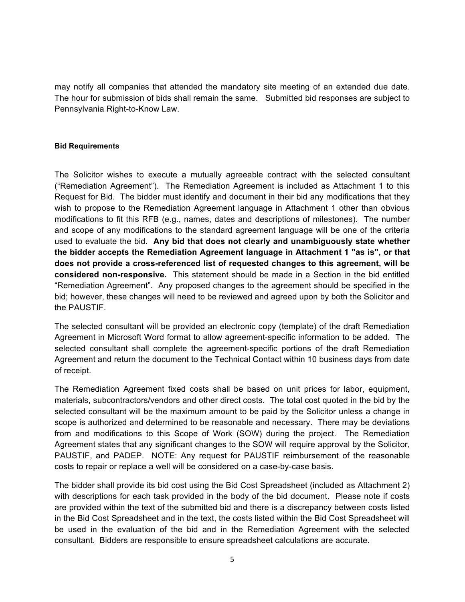may notify all companies that attended the mandatory site meeting of an extended due date. The hour for submission of bids shall remain the same. Submitted bid responses are subject to Pennsylvania Right-to-Know Law.

### **Bid Requirements**

The Solicitor wishes to execute a mutually agreeable contract with the selected consultant ("Remediation Agreement"). The Remediation Agreement is included as Attachment 1 to this Request for Bid. The bidder must identify and document in their bid any modifications that they wish to propose to the Remediation Agreement language in Attachment 1 other than obvious modifications to fit this RFB (e.g., names, dates and descriptions of milestones). The number and scope of any modifications to the standard agreement language will be one of the criteria used to evaluate the bid. **Any bid that does not clearly and unambiguously state whether the bidder accepts the Remediation Agreement language in Attachment 1 "as is", or that does not provide a cross-referenced list of requested changes to this agreement, will be considered non-responsive.** This statement should be made in a Section in the bid entitled "Remediation Agreement". Any proposed changes to the agreement should be specified in the bid; however, these changes will need to be reviewed and agreed upon by both the Solicitor and the PAUSTIF.

The selected consultant will be provided an electronic copy (template) of the draft Remediation Agreement in Microsoft Word format to allow agreement-specific information to be added. The selected consultant shall complete the agreement-specific portions of the draft Remediation Agreement and return the document to the Technical Contact within 10 business days from date of receipt.

The Remediation Agreement fixed costs shall be based on unit prices for labor, equipment, materials, subcontractors/vendors and other direct costs. The total cost quoted in the bid by the selected consultant will be the maximum amount to be paid by the Solicitor unless a change in scope is authorized and determined to be reasonable and necessary. There may be deviations from and modifications to this Scope of Work (SOW) during the project. The Remediation Agreement states that any significant changes to the SOW will require approval by the Solicitor, PAUSTIF, and PADEP. NOTE: Any request for PAUSTIF reimbursement of the reasonable costs to repair or replace a well will be considered on a case-by-case basis.

The bidder shall provide its bid cost using the Bid Cost Spreadsheet (included as Attachment 2) with descriptions for each task provided in the body of the bid document. Please note if costs are provided within the text of the submitted bid and there is a discrepancy between costs listed in the Bid Cost Spreadsheet and in the text, the costs listed within the Bid Cost Spreadsheet will be used in the evaluation of the bid and in the Remediation Agreement with the selected consultant. Bidders are responsible to ensure spreadsheet calculations are accurate.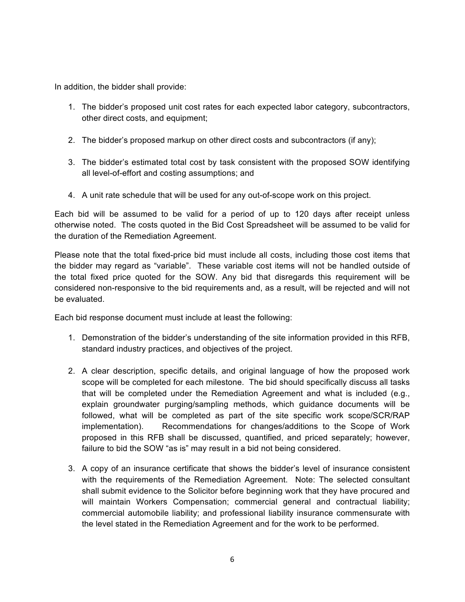In addition, the bidder shall provide:

- 1. The bidder's proposed unit cost rates for each expected labor category, subcontractors, other direct costs, and equipment;
- 2. The bidder's proposed markup on other direct costs and subcontractors (if any);
- 3. The bidder's estimated total cost by task consistent with the proposed SOW identifying all level-of-effort and costing assumptions; and
- 4. A unit rate schedule that will be used for any out-of-scope work on this project.

Each bid will be assumed to be valid for a period of up to 120 days after receipt unless otherwise noted. The costs quoted in the Bid Cost Spreadsheet will be assumed to be valid for the duration of the Remediation Agreement.

Please note that the total fixed-price bid must include all costs, including those cost items that the bidder may regard as "variable". These variable cost items will not be handled outside of the total fixed price quoted for the SOW. Any bid that disregards this requirement will be considered non-responsive to the bid requirements and, as a result, will be rejected and will not be evaluated.

Each bid response document must include at least the following:

- 1. Demonstration of the bidder's understanding of the site information provided in this RFB, standard industry practices, and objectives of the project.
- 2. A clear description, specific details, and original language of how the proposed work scope will be completed for each milestone. The bid should specifically discuss all tasks that will be completed under the Remediation Agreement and what is included (e.g., explain groundwater purging/sampling methods, which guidance documents will be followed, what will be completed as part of the site specific work scope/SCR/RAP implementation). Recommendations for changes/additions to the Scope of Work proposed in this RFB shall be discussed, quantified, and priced separately; however, failure to bid the SOW "as is" may result in a bid not being considered.
- 3. A copy of an insurance certificate that shows the bidder's level of insurance consistent with the requirements of the Remediation Agreement. Note: The selected consultant shall submit evidence to the Solicitor before beginning work that they have procured and will maintain Workers Compensation; commercial general and contractual liability; commercial automobile liability; and professional liability insurance commensurate with the level stated in the Remediation Agreement and for the work to be performed.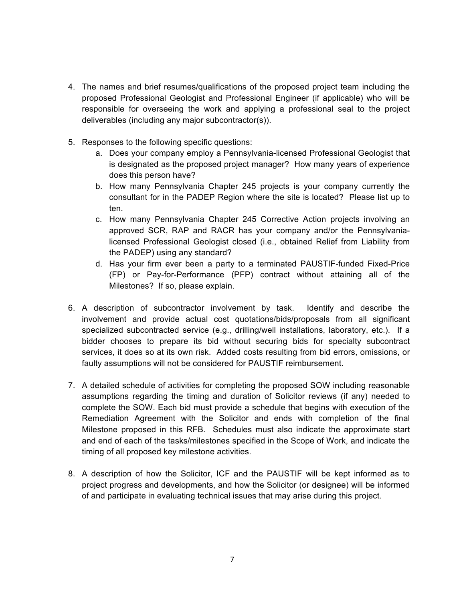- 4. The names and brief resumes/qualifications of the proposed project team including the proposed Professional Geologist and Professional Engineer (if applicable) who will be responsible for overseeing the work and applying a professional seal to the project deliverables (including any major subcontractor(s)).
- 5. Responses to the following specific questions:
	- a. Does your company employ a Pennsylvania-licensed Professional Geologist that is designated as the proposed project manager? How many years of experience does this person have?
	- b. How many Pennsylvania Chapter 245 projects is your company currently the consultant for in the PADEP Region where the site is located? Please list up to ten.
	- c. How many Pennsylvania Chapter 245 Corrective Action projects involving an approved SCR, RAP and RACR has your company and/or the Pennsylvanialicensed Professional Geologist closed (i.e., obtained Relief from Liability from the PADEP) using any standard?
	- d. Has your firm ever been a party to a terminated PAUSTIF-funded Fixed-Price (FP) or Pay-for-Performance (PFP) contract without attaining all of the Milestones? If so, please explain.
- 6. A description of subcontractor involvement by task. Identify and describe the involvement and provide actual cost quotations/bids/proposals from all significant specialized subcontracted service (e.g., drilling/well installations, laboratory, etc.). If a bidder chooses to prepare its bid without securing bids for specialty subcontract services, it does so at its own risk. Added costs resulting from bid errors, omissions, or faulty assumptions will not be considered for PAUSTIF reimbursement.
- 7. A detailed schedule of activities for completing the proposed SOW including reasonable assumptions regarding the timing and duration of Solicitor reviews (if any) needed to complete the SOW. Each bid must provide a schedule that begins with execution of the Remediation Agreement with the Solicitor and ends with completion of the final Milestone proposed in this RFB. Schedules must also indicate the approximate start and end of each of the tasks/milestones specified in the Scope of Work, and indicate the timing of all proposed key milestone activities.
- 8. A description of how the Solicitor, ICF and the PAUSTIF will be kept informed as to project progress and developments, and how the Solicitor (or designee) will be informed of and participate in evaluating technical issues that may arise during this project.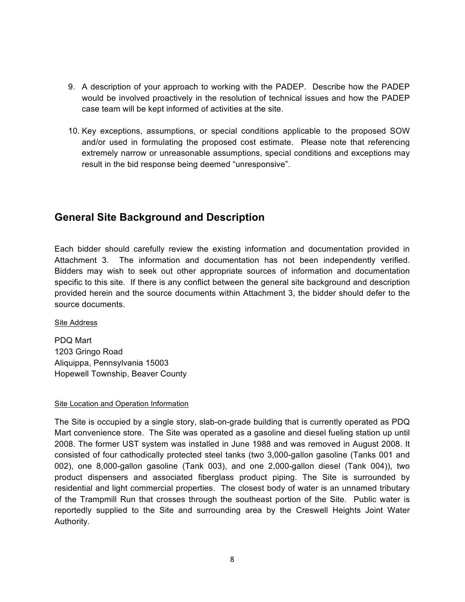- 9. A description of your approach to working with the PADEP. Describe how the PADEP would be involved proactively in the resolution of technical issues and how the PADEP case team will be kept informed of activities at the site.
- 10. Key exceptions, assumptions, or special conditions applicable to the proposed SOW and/or used in formulating the proposed cost estimate. Please note that referencing extremely narrow or unreasonable assumptions, special conditions and exceptions may result in the bid response being deemed "unresponsive".

### **General Site Background and Description**

Each bidder should carefully review the existing information and documentation provided in Attachment 3. The information and documentation has not been independently verified. Bidders may wish to seek out other appropriate sources of information and documentation specific to this site. If there is any conflict between the general site background and description provided herein and the source documents within Attachment 3, the bidder should defer to the source documents.

Site Address

PDQ Mart 1203 Gringo Road Aliquippa, Pennsylvania 15003 Hopewell Township, Beaver County

### Site Location and Operation Information

The Site is occupied by a single story, slab-on-grade building that is currently operated as PDQ Mart convenience store. The Site was operated as a gasoline and diesel fueling station up until 2008. The former UST system was installed in June 1988 and was removed in August 2008. It consisted of four cathodically protected steel tanks (two 3,000-gallon gasoline (Tanks 001 and 002), one 8,000-gallon gasoline (Tank 003), and one 2,000-gallon diesel (Tank 004)), two product dispensers and associated fiberglass product piping. The Site is surrounded by residential and light commercial properties. The closest body of water is an unnamed tributary of the Trampmill Run that crosses through the southeast portion of the Site. Public water is reportedly supplied to the Site and surrounding area by the Creswell Heights Joint Water Authority.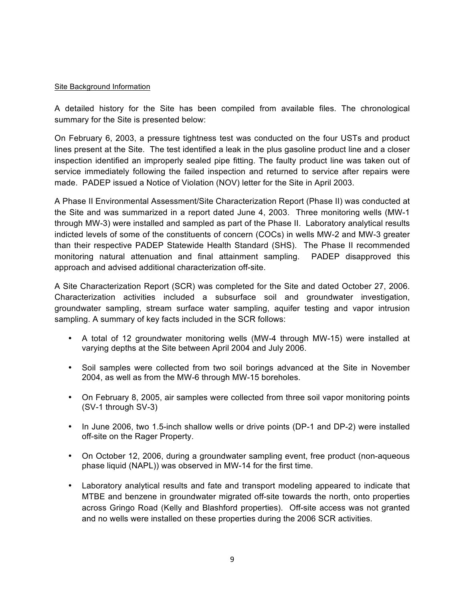### Site Background Information

A detailed history for the Site has been compiled from available files. The chronological summary for the Site is presented below:

On February 6, 2003, a pressure tightness test was conducted on the four USTs and product lines present at the Site. The test identified a leak in the plus gasoline product line and a closer inspection identified an improperly sealed pipe fitting. The faulty product line was taken out of service immediately following the failed inspection and returned to service after repairs were made. PADEP issued a Notice of Violation (NOV) letter for the Site in April 2003.

A Phase II Environmental Assessment/Site Characterization Report (Phase II) was conducted at the Site and was summarized in a report dated June 4, 2003. Three monitoring wells (MW-1 through MW-3) were installed and sampled as part of the Phase II. Laboratory analytical results indicted levels of some of the constituents of concern (COCs) in wells MW-2 and MW-3 greater than their respective PADEP Statewide Health Standard (SHS). The Phase II recommended monitoring natural attenuation and final attainment sampling. PADEP disapproved this approach and advised additional characterization off-site.

A Site Characterization Report (SCR) was completed for the Site and dated October 27, 2006. Characterization activities included a subsurface soil and groundwater investigation, groundwater sampling, stream surface water sampling, aquifer testing and vapor intrusion sampling. A summary of key facts included in the SCR follows:

- A total of 12 groundwater monitoring wells (MW-4 through MW-15) were installed at varying depths at the Site between April 2004 and July 2006.
- Soil samples were collected from two soil borings advanced at the Site in November 2004, as well as from the MW-6 through MW-15 boreholes.
- On February 8, 2005, air samples were collected from three soil vapor monitoring points (SV-1 through SV-3)
- In June 2006, two 1.5-inch shallow wells or drive points (DP-1 and DP-2) were installed off-site on the Rager Property.
- On October 12, 2006, during a groundwater sampling event, free product (non-aqueous phase liquid (NAPL)) was observed in MW-14 for the first time.
- Laboratory analytical results and fate and transport modeling appeared to indicate that MTBE and benzene in groundwater migrated off-site towards the north, onto properties across Gringo Road (Kelly and Blashford properties). Off-site access was not granted and no wells were installed on these properties during the 2006 SCR activities.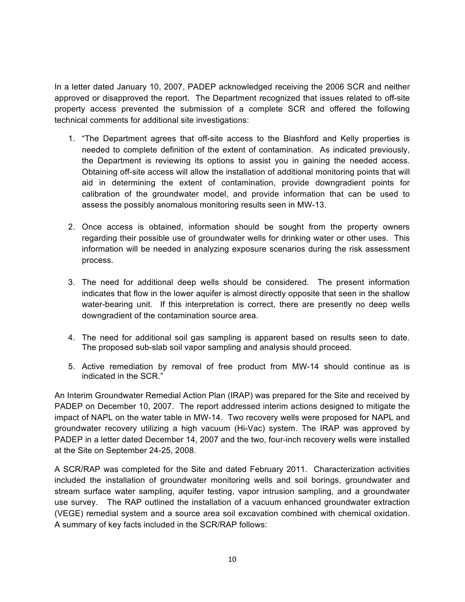In a letter dated January 10, 2007, PADEP acknowledged receiving the 2006 SCR and neither approved or disapproved the report. The Department recognized that issues related to off-site property access prevented the submission of a complete SCR and offered the following technical comments for additional site investigations:

- 1. "The Department agrees that off-site access to the Blashford and Kelly properties is needed to complete definition of the extent of contamination. As indicated previously, the Department is reviewing its options to assist you in gaining the needed access. Obtaining off-site access will allow the installation of additional monitoring points that will aid in determining the extent of contamination, provide downgradient points for calibration of the groundwater model, and provide information that can be used to assess the possibly anomalous monitoring results seen in MW-13.
- 2. Once access is obtained, information should be sought from the property owners regarding their possible use of groundwater wells for drinking water or other uses. This information will be needed in analyzing exposure scenarios during the risk assessment process.
- 3. The need for additional deep wells should be considered. The present information indicates that flow in the lower aquifer is almost directly opposite that seen in the shallow water-bearing unit. If this interpretation is correct, there are presently no deep wells downgradient of the contamination source area.
- 4. The need for additional soil gas sampling is apparent based on results seen to date. The proposed sub-slab soil vapor sampling and analysis should proceed.
- 5. Active remediation by removal of free product from MW-14 should continue as is indicated in the SCR."

An Interim Groundwater Remedial Action Plan (IRAP) was prepared for the Site and received by PADEP on December 10, 2007. The report addressed interim actions designed to mitigate the impact of NAPL on the water table in MW-14. Two recovery wells were proposed for NAPL and groundwater recovery utilizing a high vacuum (Hi-Vac) system. The IRAP was approved by PADEP in a letter dated December 14, 2007 and the two, four-inch recovery wells were installed at the Site on September 24-25, 2008.

A SCR/RAP was completed for the Site and dated February 2011. Characterization activities included the installation of groundwater monitoring wells and soil borings, groundwater and stream surface water sampling, aquifer testing, vapor intrusion sampling, and a groundwater use survey. The RAP outlined the installation of a vacuum enhanced groundwater extraction (VEGE) remedial system and a source area soil excavation combined with chemical oxidation. A summary of key facts included in the SCR/RAP follows: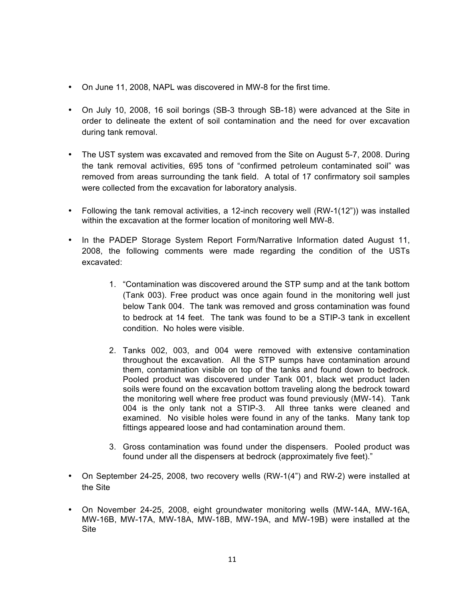- On June 11, 2008, NAPL was discovered in MW-8 for the first time.
- On July 10, 2008, 16 soil borings (SB-3 through SB-18) were advanced at the Site in order to delineate the extent of soil contamination and the need for over excavation during tank removal.
- The UST system was excavated and removed from the Site on August 5-7, 2008. During the tank removal activities, 695 tons of "confirmed petroleum contaminated soil" was removed from areas surrounding the tank field. A total of 17 confirmatory soil samples were collected from the excavation for laboratory analysis.
- Following the tank removal activities, a 12-inch recovery well (RW-1(12")) was installed within the excavation at the former location of monitoring well MW-8.
- In the PADEP Storage System Report Form/Narrative Information dated August 11, 2008, the following comments were made regarding the condition of the USTs excavated:
	- 1. "Contamination was discovered around the STP sump and at the tank bottom (Tank 003). Free product was once again found in the monitoring well just below Tank 004. The tank was removed and gross contamination was found to bedrock at 14 feet. The tank was found to be a STIP-3 tank in excellent condition. No holes were visible.
	- 2. Tanks 002, 003, and 004 were removed with extensive contamination throughout the excavation. All the STP sumps have contamination around them, contamination visible on top of the tanks and found down to bedrock. Pooled product was discovered under Tank 001, black wet product laden soils were found on the excavation bottom traveling along the bedrock toward the monitoring well where free product was found previously (MW-14). Tank 004 is the only tank not a STIP-3. All three tanks were cleaned and examined. No visible holes were found in any of the tanks. Many tank top fittings appeared loose and had contamination around them.
	- 3. Gross contamination was found under the dispensers. Pooled product was found under all the dispensers at bedrock (approximately five feet)."
- On September 24-25, 2008, two recovery wells (RW-1(4") and RW-2) were installed at the Site
- On November 24-25, 2008, eight groundwater monitoring wells (MW-14A, MW-16A, MW-16B, MW-17A, MW-18A, MW-18B, MW-19A, and MW-19B) were installed at the Site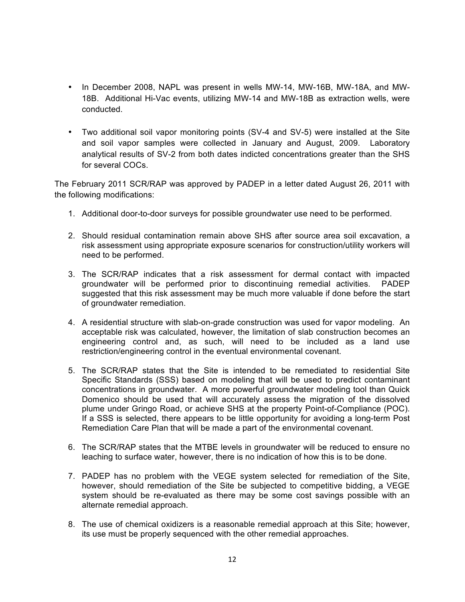- In December 2008, NAPL was present in wells MW-14, MW-16B, MW-18A, and MW-18B. Additional Hi-Vac events, utilizing MW-14 and MW-18B as extraction wells, were conducted.
- Two additional soil vapor monitoring points (SV-4 and SV-5) were installed at the Site and soil vapor samples were collected in January and August, 2009. Laboratory analytical results of SV-2 from both dates indicted concentrations greater than the SHS for several COCs.

The February 2011 SCR/RAP was approved by PADEP in a letter dated August 26, 2011 with the following modifications:

- 1. Additional door-to-door surveys for possible groundwater use need to be performed.
- 2. Should residual contamination remain above SHS after source area soil excavation, a risk assessment using appropriate exposure scenarios for construction/utility workers will need to be performed.
- 3. The SCR/RAP indicates that a risk assessment for dermal contact with impacted groundwater will be performed prior to discontinuing remedial activities. PADEP suggested that this risk assessment may be much more valuable if done before the start of groundwater remediation.
- 4. A residential structure with slab-on-grade construction was used for vapor modeling. An acceptable risk was calculated, however, the limitation of slab construction becomes an engineering control and, as such, will need to be included as a land use restriction/engineering control in the eventual environmental covenant.
- 5. The SCR/RAP states that the Site is intended to be remediated to residential Site Specific Standards (SSS) based on modeling that will be used to predict contaminant concentrations in groundwater. A more powerful groundwater modeling tool than Quick Domenico should be used that will accurately assess the migration of the dissolved plume under Gringo Road, or achieve SHS at the property Point-of-Compliance (POC). If a SSS is selected, there appears to be little opportunity for avoiding a long-term Post Remediation Care Plan that will be made a part of the environmental covenant.
- 6. The SCR/RAP states that the MTBE levels in groundwater will be reduced to ensure no leaching to surface water, however, there is no indication of how this is to be done.
- 7. PADEP has no problem with the VEGE system selected for remediation of the Site, however, should remediation of the Site be subjected to competitive bidding, a VEGE system should be re-evaluated as there may be some cost savings possible with an alternate remedial approach.
- 8. The use of chemical oxidizers is a reasonable remedial approach at this Site; however, its use must be properly sequenced with the other remedial approaches.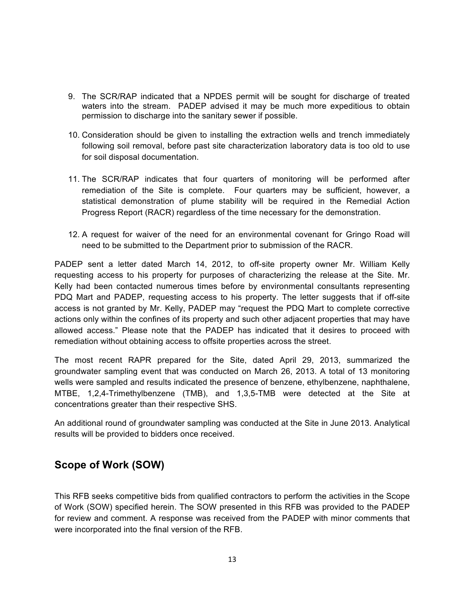- 9. The SCR/RAP indicated that a NPDES permit will be sought for discharge of treated waters into the stream. PADEP advised it may be much more expeditious to obtain permission to discharge into the sanitary sewer if possible.
- 10. Consideration should be given to installing the extraction wells and trench immediately following soil removal, before past site characterization laboratory data is too old to use for soil disposal documentation.
- 11. The SCR/RAP indicates that four quarters of monitoring will be performed after remediation of the Site is complete. Four quarters may be sufficient, however, a statistical demonstration of plume stability will be required in the Remedial Action Progress Report (RACR) regardless of the time necessary for the demonstration.
- 12. A request for waiver of the need for an environmental covenant for Gringo Road will need to be submitted to the Department prior to submission of the RACR.

PADEP sent a letter dated March 14, 2012, to off-site property owner Mr. William Kelly requesting access to his property for purposes of characterizing the release at the Site. Mr. Kelly had been contacted numerous times before by environmental consultants representing PDQ Mart and PADEP, requesting access to his property. The letter suggests that if off-site access is not granted by Mr. Kelly, PADEP may "request the PDQ Mart to complete corrective actions only within the confines of its property and such other adjacent properties that may have allowed access." Please note that the PADEP has indicated that it desires to proceed with remediation without obtaining access to offsite properties across the street.

The most recent RAPR prepared for the Site, dated April 29, 2013, summarized the groundwater sampling event that was conducted on March 26, 2013. A total of 13 monitoring wells were sampled and results indicated the presence of benzene, ethylbenzene, naphthalene, MTBE, 1,2,4-Trimethylbenzene (TMB), and 1,3,5-TMB were detected at the Site at concentrations greater than their respective SHS.

An additional round of groundwater sampling was conducted at the Site in June 2013. Analytical results will be provided to bidders once received.

### **Scope of Work (SOW)**

This RFB seeks competitive bids from qualified contractors to perform the activities in the Scope of Work (SOW) specified herein. The SOW presented in this RFB was provided to the PADEP for review and comment. A response was received from the PADEP with minor comments that were incorporated into the final version of the RFB.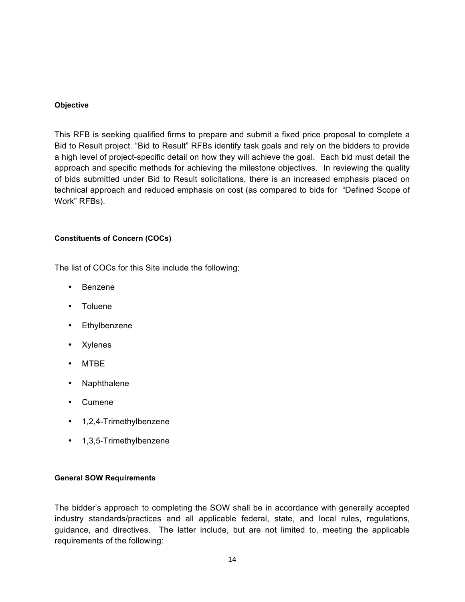### **Objective**

This RFB is seeking qualified firms to prepare and submit a fixed price proposal to complete a Bid to Result project. "Bid to Result" RFBs identify task goals and rely on the bidders to provide a high level of project-specific detail on how they will achieve the goal. Each bid must detail the approach and specific methods for achieving the milestone objectives. In reviewing the quality of bids submitted under Bid to Result solicitations, there is an increased emphasis placed on technical approach and reduced emphasis on cost (as compared to bids for "Defined Scope of Work" RFBs).

### **Constituents of Concern (COCs)**

The list of COCs for this Site include the following:

- Benzene
- Toluene
- Ethylbenzene
- Xylenes
- MTBE
- Naphthalene
- Cumene
- 1,2,4-Trimethylbenzene
- 1,3,5-Trimethylbenzene

### **General SOW Requirements**

The bidder's approach to completing the SOW shall be in accordance with generally accepted industry standards/practices and all applicable federal, state, and local rules, regulations, guidance, and directives. The latter include, but are not limited to, meeting the applicable requirements of the following: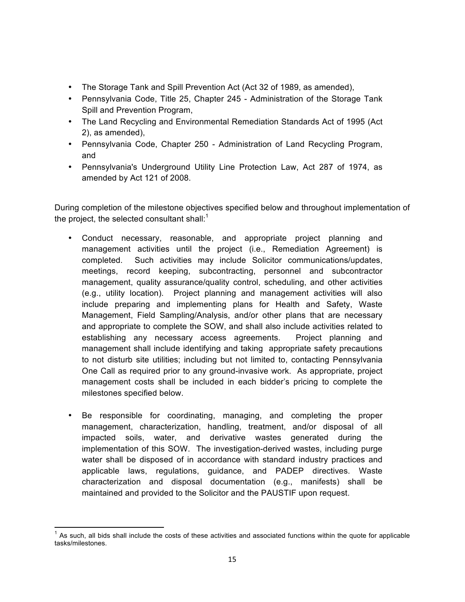- The Storage Tank and Spill Prevention Act (Act 32 of 1989, as amended),
- Pennsylvania Code, Title 25, Chapter 245 Administration of the Storage Tank Spill and Prevention Program,
- The Land Recycling and Environmental Remediation Standards Act of 1995 (Act 2), as amended),
- Pennsylvania Code, Chapter 250 Administration of Land Recycling Program, and
- Pennsylvania's Underground Utility Line Protection Law, Act 287 of 1974, as amended by Act 121 of 2008.

During completion of the milestone objectives specified below and throughout implementation of the project, the selected consultant shall: $1$ 

- Conduct necessary, reasonable, and appropriate project planning and management activities until the project (i.e., Remediation Agreement) is completed. Such activities may include Solicitor communications/updates, meetings, record keeping, subcontracting, personnel and subcontractor management, quality assurance/quality control, scheduling, and other activities (e.g., utility location). Project planning and management activities will also include preparing and implementing plans for Health and Safety, Waste Management, Field Sampling/Analysis, and/or other plans that are necessary and appropriate to complete the SOW, and shall also include activities related to establishing any necessary access agreements. Project planning and management shall include identifying and taking appropriate safety precautions to not disturb site utilities; including but not limited to, contacting Pennsylvania One Call as required prior to any ground-invasive work. As appropriate, project management costs shall be included in each bidder's pricing to complete the milestones specified below.
- Be responsible for coordinating, managing, and completing the proper management, characterization, handling, treatment, and/or disposal of all impacted soils, water, and derivative wastes generated during the implementation of this SOW. The investigation-derived wastes, including purge water shall be disposed of in accordance with standard industry practices and applicable laws, regulations, guidance, and PADEP directives. Waste characterization and disposal documentation (e.g., manifests) shall be maintained and provided to the Solicitor and the PAUSTIF upon request.

As such, all bids shall include the costs of these activities and associated functions within the quote for applicable tasks/milestones.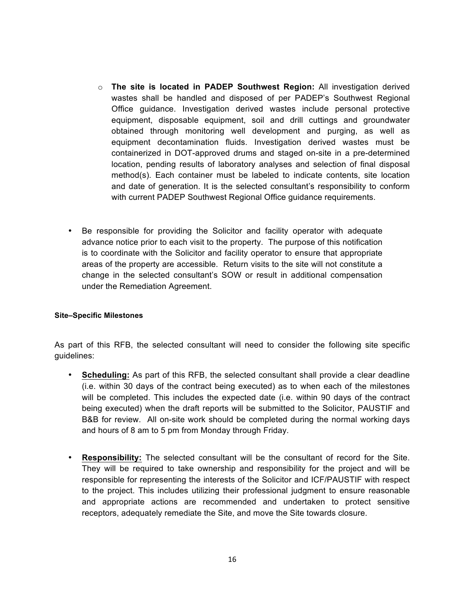- o **The site is located in PADEP Southwest Region:** All investigation derived wastes shall be handled and disposed of per PADEP's Southwest Regional Office guidance. Investigation derived wastes include personal protective equipment, disposable equipment, soil and drill cuttings and groundwater obtained through monitoring well development and purging, as well as equipment decontamination fluids. Investigation derived wastes must be containerized in DOT-approved drums and staged on-site in a pre-determined location, pending results of laboratory analyses and selection of final disposal method(s). Each container must be labeled to indicate contents, site location and date of generation. It is the selected consultant's responsibility to conform with current PADEP Southwest Regional Office guidance requirements.
- Be responsible for providing the Solicitor and facility operator with adequate advance notice prior to each visit to the property. The purpose of this notification is to coordinate with the Solicitor and facility operator to ensure that appropriate areas of the property are accessible. Return visits to the site will not constitute a change in the selected consultant's SOW or result in additional compensation under the Remediation Agreement.

### **Site–Specific Milestones**

As part of this RFB, the selected consultant will need to consider the following site specific guidelines:

- **Scheduling:** As part of this RFB, the selected consultant shall provide a clear deadline (i.e. within 30 days of the contract being executed) as to when each of the milestones will be completed. This includes the expected date (i.e. within 90 days of the contract being executed) when the draft reports will be submitted to the Solicitor, PAUSTIF and B&B for review. All on-site work should be completed during the normal working days and hours of 8 am to 5 pm from Monday through Friday.
- **Responsibility:** The selected consultant will be the consultant of record for the Site. They will be required to take ownership and responsibility for the project and will be responsible for representing the interests of the Solicitor and ICF/PAUSTIF with respect to the project. This includes utilizing their professional judgment to ensure reasonable and appropriate actions are recommended and undertaken to protect sensitive receptors, adequately remediate the Site, and move the Site towards closure.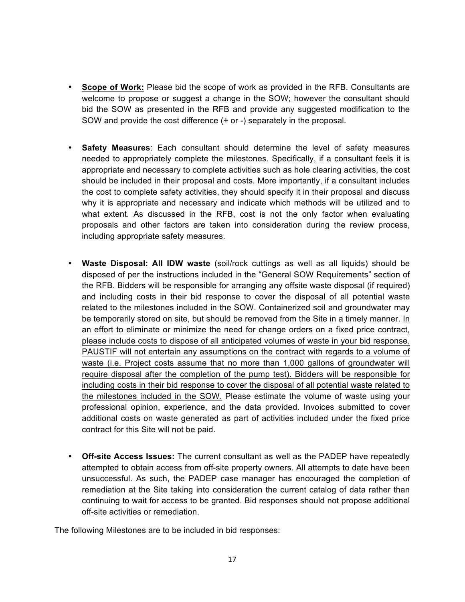- **Scope of Work:** Please bid the scope of work as provided in the RFB. Consultants are welcome to propose or suggest a change in the SOW; however the consultant should bid the SOW as presented in the RFB and provide any suggested modification to the SOW and provide the cost difference (+ or -) separately in the proposal.
- **Safety Measures**: Each consultant should determine the level of safety measures needed to appropriately complete the milestones. Specifically, if a consultant feels it is appropriate and necessary to complete activities such as hole clearing activities, the cost should be included in their proposal and costs. More importantly, if a consultant includes the cost to complete safety activities, they should specify it in their proposal and discuss why it is appropriate and necessary and indicate which methods will be utilized and to what extent. As discussed in the RFB, cost is not the only factor when evaluating proposals and other factors are taken into consideration during the review process, including appropriate safety measures.
- **Waste Disposal: All IDW waste** (soil/rock cuttings as well as all liquids) should be disposed of per the instructions included in the "General SOW Requirements" section of the RFB. Bidders will be responsible for arranging any offsite waste disposal (if required) and including costs in their bid response to cover the disposal of all potential waste related to the milestones included in the SOW. Containerized soil and groundwater may be temporarily stored on site, but should be removed from the Site in a timely manner. In an effort to eliminate or minimize the need for change orders on a fixed price contract, please include costs to dispose of all anticipated volumes of waste in your bid response. PAUSTIF will not entertain any assumptions on the contract with regards to a volume of waste (i.e. Project costs assume that no more than 1,000 gallons of groundwater will require disposal after the completion of the pump test). Bidders will be responsible for including costs in their bid response to cover the disposal of all potential waste related to the milestones included in the SOW. Please estimate the volume of waste using your professional opinion, experience, and the data provided. Invoices submitted to cover additional costs on waste generated as part of activities included under the fixed price contract for this Site will not be paid.
- **Off-site Access Issues:** The current consultant as well as the PADEP have repeatedly attempted to obtain access from off-site property owners. All attempts to date have been unsuccessful. As such, the PADEP case manager has encouraged the completion of remediation at the Site taking into consideration the current catalog of data rather than continuing to wait for access to be granted. Bid responses should not propose additional off-site activities or remediation.

The following Milestones are to be included in bid responses: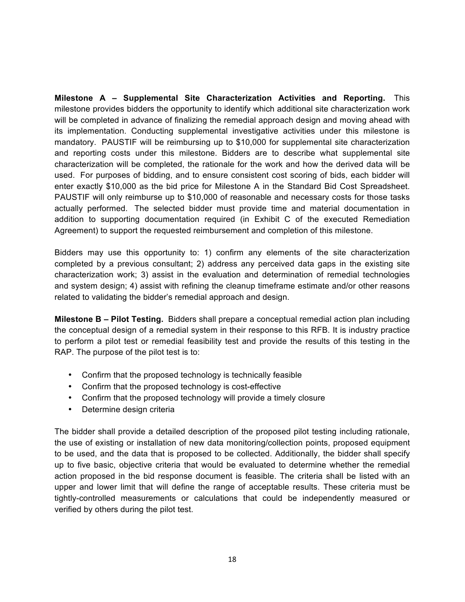**Milestone A – Supplemental Site Characterization Activities and Reporting.** This milestone provides bidders the opportunity to identify which additional site characterization work will be completed in advance of finalizing the remedial approach design and moving ahead with its implementation. Conducting supplemental investigative activities under this milestone is mandatory. PAUSTIF will be reimbursing up to \$10,000 for supplemental site characterization and reporting costs under this milestone. Bidders are to describe what supplemental site characterization will be completed, the rationale for the work and how the derived data will be used. For purposes of bidding, and to ensure consistent cost scoring of bids, each bidder will enter exactly \$10,000 as the bid price for Milestone A in the Standard Bid Cost Spreadsheet. PAUSTIF will only reimburse up to \$10,000 of reasonable and necessary costs for those tasks actually performed. The selected bidder must provide time and material documentation in addition to supporting documentation required (in Exhibit C of the executed Remediation Agreement) to support the requested reimbursement and completion of this milestone.

Bidders may use this opportunity to: 1) confirm any elements of the site characterization completed by a previous consultant; 2) address any perceived data gaps in the existing site characterization work; 3) assist in the evaluation and determination of remedial technologies and system design; 4) assist with refining the cleanup timeframe estimate and/or other reasons related to validating the bidder's remedial approach and design.

**Milestone B – Pilot Testing.** Bidders shall prepare a conceptual remedial action plan including the conceptual design of a remedial system in their response to this RFB. It is industry practice to perform a pilot test or remedial feasibility test and provide the results of this testing in the RAP. The purpose of the pilot test is to:

- Confirm that the proposed technology is technically feasible
- Confirm that the proposed technology is cost-effective
- Confirm that the proposed technology will provide a timely closure
- Determine design criteria

The bidder shall provide a detailed description of the proposed pilot testing including rationale, the use of existing or installation of new data monitoring/collection points, proposed equipment to be used, and the data that is proposed to be collected. Additionally, the bidder shall specify up to five basic, objective criteria that would be evaluated to determine whether the remedial action proposed in the bid response document is feasible. The criteria shall be listed with an upper and lower limit that will define the range of acceptable results. These criteria must be tightly-controlled measurements or calculations that could be independently measured or verified by others during the pilot test.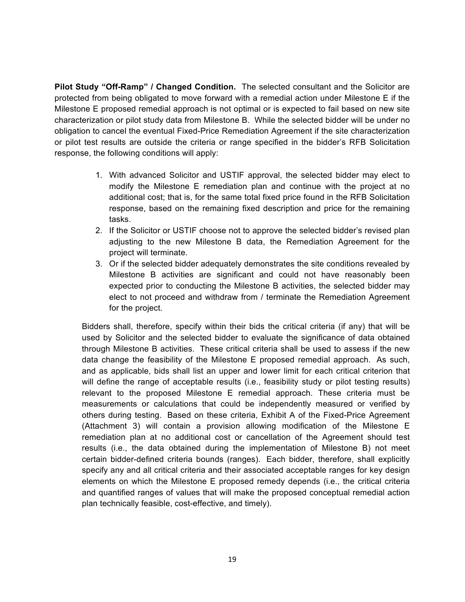**Pilot Study "Off-Ramp" / Changed Condition.** The selected consultant and the Solicitor are protected from being obligated to move forward with a remedial action under Milestone E if the Milestone E proposed remedial approach is not optimal or is expected to fail based on new site characterization or pilot study data from Milestone B. While the selected bidder will be under no obligation to cancel the eventual Fixed-Price Remediation Agreement if the site characterization or pilot test results are outside the criteria or range specified in the bidder's RFB Solicitation response, the following conditions will apply:

- 1. With advanced Solicitor and USTIF approval, the selected bidder may elect to modify the Milestone E remediation plan and continue with the project at no additional cost; that is, for the same total fixed price found in the RFB Solicitation response, based on the remaining fixed description and price for the remaining tasks.
- 2. If the Solicitor or USTIF choose not to approve the selected bidder's revised plan adjusting to the new Milestone B data, the Remediation Agreement for the project will terminate.
- 3. Or if the selected bidder adequately demonstrates the site conditions revealed by Milestone B activities are significant and could not have reasonably been expected prior to conducting the Milestone B activities, the selected bidder may elect to not proceed and withdraw from / terminate the Remediation Agreement for the project.

Bidders shall, therefore, specify within their bids the critical criteria (if any) that will be used by Solicitor and the selected bidder to evaluate the significance of data obtained through Milestone B activities. These critical criteria shall be used to assess if the new data change the feasibility of the Milestone E proposed remedial approach. As such, and as applicable, bids shall list an upper and lower limit for each critical criterion that will define the range of acceptable results (i.e., feasibility study or pilot testing results) relevant to the proposed Milestone E remedial approach. These criteria must be measurements or calculations that could be independently measured or verified by others during testing. Based on these criteria, Exhibit A of the Fixed-Price Agreement (Attachment 3) will contain a provision allowing modification of the Milestone E remediation plan at no additional cost or cancellation of the Agreement should test results (i.e., the data obtained during the implementation of Milestone B) not meet certain bidder-defined criteria bounds (ranges). Each bidder, therefore, shall explicitly specify any and all critical criteria and their associated acceptable ranges for key design elements on which the Milestone E proposed remedy depends (i.e., the critical criteria and quantified ranges of values that will make the proposed conceptual remedial action plan technically feasible, cost-effective, and timely).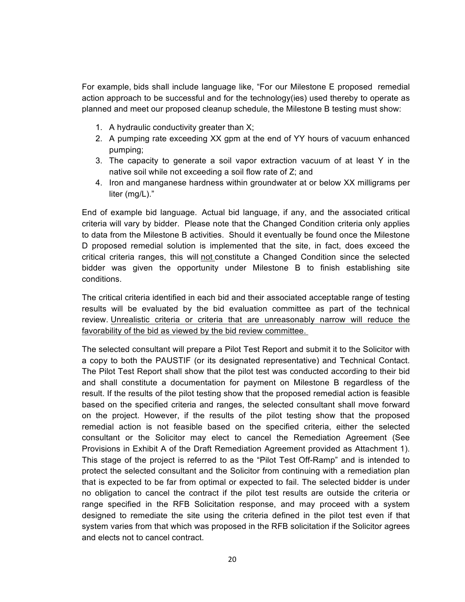For example, bids shall include language like, "For our Milestone E proposed remedial action approach to be successful and for the technology(ies) used thereby to operate as planned and meet our proposed cleanup schedule, the Milestone B testing must show:

- 1. A hydraulic conductivity greater than X;
- 2. A pumping rate exceeding XX gpm at the end of YY hours of vacuum enhanced pumping;
- 3. The capacity to generate a soil vapor extraction vacuum of at least Y in the native soil while not exceeding a soil flow rate of Z; and
- 4. Iron and manganese hardness within groundwater at or below XX milligrams per liter (mg/L)."

End of example bid language. Actual bid language, if any, and the associated critical criteria will vary by bidder. Please note that the Changed Condition criteria only applies to data from the Milestone B activities. Should it eventually be found once the Milestone D proposed remedial solution is implemented that the site, in fact, does exceed the critical criteria ranges, this will not constitute a Changed Condition since the selected bidder was given the opportunity under Milestone B to finish establishing site conditions.

The critical criteria identified in each bid and their associated acceptable range of testing results will be evaluated by the bid evaluation committee as part of the technical review. Unrealistic criteria or criteria that are unreasonably narrow will reduce the favorability of the bid as viewed by the bid review committee.

The selected consultant will prepare a Pilot Test Report and submit it to the Solicitor with a copy to both the PAUSTIF (or its designated representative) and Technical Contact. The Pilot Test Report shall show that the pilot test was conducted according to their bid and shall constitute a documentation for payment on Milestone B regardless of the result. If the results of the pilot testing show that the proposed remedial action is feasible based on the specified criteria and ranges, the selected consultant shall move forward on the project. However, if the results of the pilot testing show that the proposed remedial action is not feasible based on the specified criteria, either the selected consultant or the Solicitor may elect to cancel the Remediation Agreement (See Provisions in Exhibit A of the Draft Remediation Agreement provided as Attachment 1). This stage of the project is referred to as the "Pilot Test Off-Ramp" and is intended to protect the selected consultant and the Solicitor from continuing with a remediation plan that is expected to be far from optimal or expected to fail. The selected bidder is under no obligation to cancel the contract if the pilot test results are outside the criteria or range specified in the RFB Solicitation response, and may proceed with a system designed to remediate the site using the criteria defined in the pilot test even if that system varies from that which was proposed in the RFB solicitation if the Solicitor agrees and elects not to cancel contract.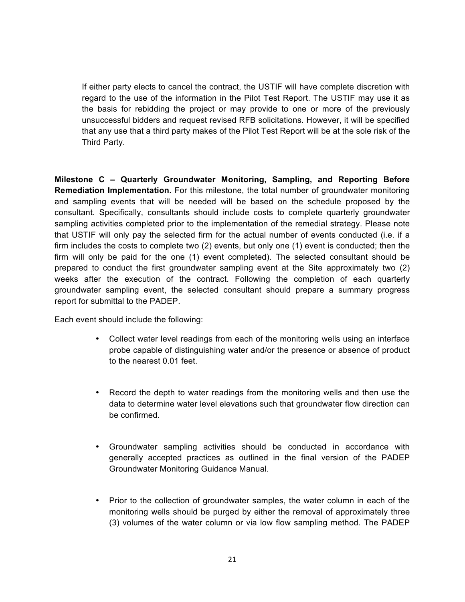If either party elects to cancel the contract, the USTIF will have complete discretion with regard to the use of the information in the Pilot Test Report. The USTIF may use it as the basis for rebidding the project or may provide to one or more of the previously unsuccessful bidders and request revised RFB solicitations. However, it will be specified that any use that a third party makes of the Pilot Test Report will be at the sole risk of the Third Party.

**Milestone C – Quarterly Groundwater Monitoring, Sampling, and Reporting Before Remediation Implementation.** For this milestone, the total number of groundwater monitoring and sampling events that will be needed will be based on the schedule proposed by the consultant. Specifically, consultants should include costs to complete quarterly groundwater sampling activities completed prior to the implementation of the remedial strategy. Please note that USTIF will only pay the selected firm for the actual number of events conducted (i.e. if a firm includes the costs to complete two (2) events, but only one (1) event is conducted; then the firm will only be paid for the one (1) event completed). The selected consultant should be prepared to conduct the first groundwater sampling event at the Site approximately two (2) weeks after the execution of the contract. Following the completion of each quarterly groundwater sampling event, the selected consultant should prepare a summary progress report for submittal to the PADEP.

Each event should include the following:

- Collect water level readings from each of the monitoring wells using an interface probe capable of distinguishing water and/or the presence or absence of product to the nearest 0.01 feet.
- Record the depth to water readings from the monitoring wells and then use the data to determine water level elevations such that groundwater flow direction can be confirmed.
- Groundwater sampling activities should be conducted in accordance with generally accepted practices as outlined in the final version of the PADEP Groundwater Monitoring Guidance Manual.
- Prior to the collection of groundwater samples, the water column in each of the monitoring wells should be purged by either the removal of approximately three (3) volumes of the water column or via low flow sampling method. The PADEP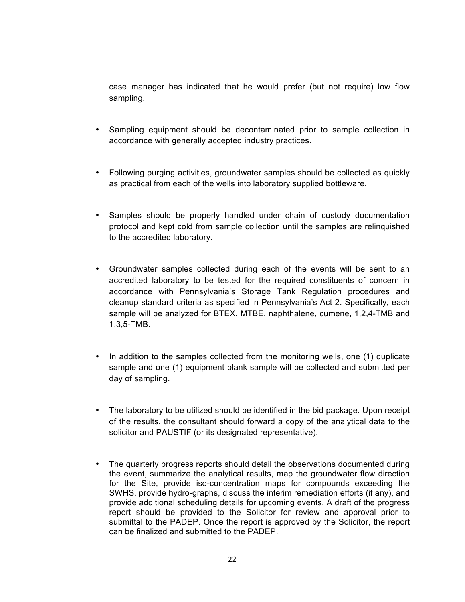case manager has indicated that he would prefer (but not require) low flow sampling.

- Sampling equipment should be decontaminated prior to sample collection in accordance with generally accepted industry practices.
- Following purging activities, groundwater samples should be collected as quickly as practical from each of the wells into laboratory supplied bottleware.
- Samples should be properly handled under chain of custody documentation protocol and kept cold from sample collection until the samples are relinquished to the accredited laboratory.
- Groundwater samples collected during each of the events will be sent to an accredited laboratory to be tested for the required constituents of concern in accordance with Pennsylvania's Storage Tank Regulation procedures and cleanup standard criteria as specified in Pennsylvania's Act 2. Specifically, each sample will be analyzed for BTEX, MTBE, naphthalene, cumene, 1,2,4-TMB and 1,3,5-TMB.
- In addition to the samples collected from the monitoring wells, one (1) duplicate sample and one (1) equipment blank sample will be collected and submitted per day of sampling.
- The laboratory to be utilized should be identified in the bid package. Upon receipt of the results, the consultant should forward a copy of the analytical data to the solicitor and PAUSTIF (or its designated representative).
- The quarterly progress reports should detail the observations documented during the event, summarize the analytical results, map the groundwater flow direction for the Site, provide iso-concentration maps for compounds exceeding the SWHS, provide hydro-graphs, discuss the interim remediation efforts (if any), and provide additional scheduling details for upcoming events. A draft of the progress report should be provided to the Solicitor for review and approval prior to submittal to the PADEP. Once the report is approved by the Solicitor, the report can be finalized and submitted to the PADEP.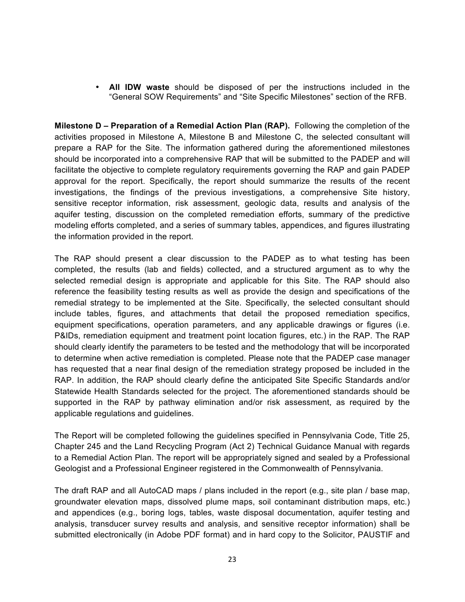• **All IDW waste** should be disposed of per the instructions included in the "General SOW Requirements" and "Site Specific Milestones" section of the RFB.

**Milestone D – Preparation of a Remedial Action Plan (RAP).** Following the completion of the activities proposed in Milestone A, Milestone B and Milestone C, the selected consultant will prepare a RAP for the Site. The information gathered during the aforementioned milestones should be incorporated into a comprehensive RAP that will be submitted to the PADEP and will facilitate the objective to complete regulatory requirements governing the RAP and gain PADEP approval for the report. Specifically, the report should summarize the results of the recent investigations, the findings of the previous investigations, a comprehensive Site history, sensitive receptor information, risk assessment, geologic data, results and analysis of the aquifer testing, discussion on the completed remediation efforts, summary of the predictive modeling efforts completed, and a series of summary tables, appendices, and figures illustrating the information provided in the report.

The RAP should present a clear discussion to the PADEP as to what testing has been completed, the results (lab and fields) collected, and a structured argument as to why the selected remedial design is appropriate and applicable for this Site. The RAP should also reference the feasibility testing results as well as provide the design and specifications of the remedial strategy to be implemented at the Site. Specifically, the selected consultant should include tables, figures, and attachments that detail the proposed remediation specifics, equipment specifications, operation parameters, and any applicable drawings or figures (i.e. P&IDs, remediation equipment and treatment point location figures, etc.) in the RAP. The RAP should clearly identify the parameters to be tested and the methodology that will be incorporated to determine when active remediation is completed. Please note that the PADEP case manager has requested that a near final design of the remediation strategy proposed be included in the RAP. In addition, the RAP should clearly define the anticipated Site Specific Standards and/or Statewide Health Standards selected for the project. The aforementioned standards should be supported in the RAP by pathway elimination and/or risk assessment, as required by the applicable regulations and guidelines.

The Report will be completed following the guidelines specified in Pennsylvania Code, Title 25, Chapter 245 and the Land Recycling Program (Act 2) Technical Guidance Manual with regards to a Remedial Action Plan. The report will be appropriately signed and sealed by a Professional Geologist and a Professional Engineer registered in the Commonwealth of Pennsylvania.

The draft RAP and all AutoCAD maps / plans included in the report (e.g., site plan / base map, groundwater elevation maps, dissolved plume maps, soil contaminant distribution maps, etc.) and appendices (e.g., boring logs, tables, waste disposal documentation, aquifer testing and analysis, transducer survey results and analysis, and sensitive receptor information) shall be submitted electronically (in Adobe PDF format) and in hard copy to the Solicitor, PAUSTIF and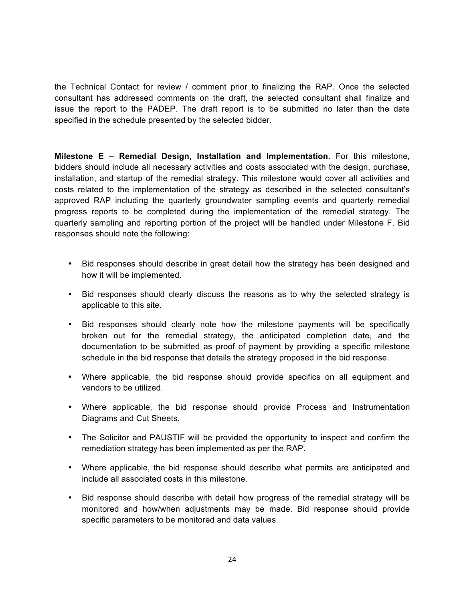the Technical Contact for review / comment prior to finalizing the RAP. Once the selected consultant has addressed comments on the draft, the selected consultant shall finalize and issue the report to the PADEP. The draft report is to be submitted no later than the date specified in the schedule presented by the selected bidder.

**Milestone E – Remedial Design, Installation and Implementation.** For this milestone, bidders should include all necessary activities and costs associated with the design, purchase, installation, and startup of the remedial strategy. This milestone would cover all activities and costs related to the implementation of the strategy as described in the selected consultant's approved RAP including the quarterly groundwater sampling events and quarterly remedial progress reports to be completed during the implementation of the remedial strategy. The quarterly sampling and reporting portion of the project will be handled under Milestone F. Bid responses should note the following:

- Bid responses should describe in great detail how the strategy has been designed and how it will be implemented.
- Bid responses should clearly discuss the reasons as to why the selected strategy is applicable to this site.
- Bid responses should clearly note how the milestone payments will be specifically broken out for the remedial strategy, the anticipated completion date, and the documentation to be submitted as proof of payment by providing a specific milestone schedule in the bid response that details the strategy proposed in the bid response.
- Where applicable, the bid response should provide specifics on all equipment and vendors to be utilized.
- Where applicable, the bid response should provide Process and Instrumentation Diagrams and Cut Sheets.
- The Solicitor and PAUSTIF will be provided the opportunity to inspect and confirm the remediation strategy has been implemented as per the RAP.
- Where applicable, the bid response should describe what permits are anticipated and include all associated costs in this milestone.
- Bid response should describe with detail how progress of the remedial strategy will be monitored and how/when adjustments may be made. Bid response should provide specific parameters to be monitored and data values.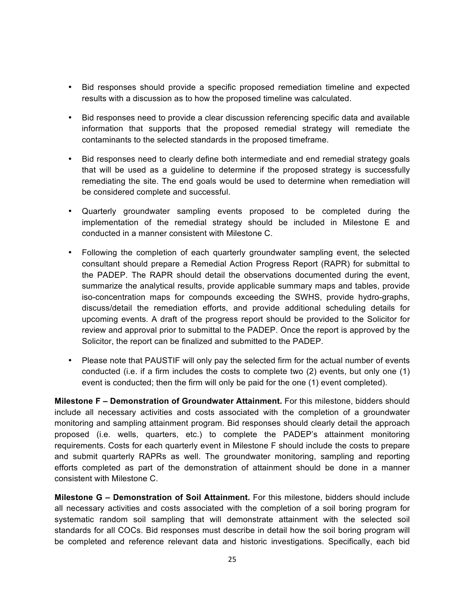- Bid responses should provide a specific proposed remediation timeline and expected results with a discussion as to how the proposed timeline was calculated.
- Bid responses need to provide a clear discussion referencing specific data and available information that supports that the proposed remedial strategy will remediate the contaminants to the selected standards in the proposed timeframe.
- Bid responses need to clearly define both intermediate and end remedial strategy goals that will be used as a guideline to determine if the proposed strategy is successfully remediating the site. The end goals would be used to determine when remediation will be considered complete and successful.
- Quarterly groundwater sampling events proposed to be completed during the implementation of the remedial strategy should be included in Milestone E and conducted in a manner consistent with Milestone C.
- Following the completion of each quarterly groundwater sampling event, the selected consultant should prepare a Remedial Action Progress Report (RAPR) for submittal to the PADEP. The RAPR should detail the observations documented during the event, summarize the analytical results, provide applicable summary maps and tables, provide iso-concentration maps for compounds exceeding the SWHS, provide hydro-graphs, discuss/detail the remediation efforts, and provide additional scheduling details for upcoming events. A draft of the progress report should be provided to the Solicitor for review and approval prior to submittal to the PADEP. Once the report is approved by the Solicitor, the report can be finalized and submitted to the PADEP.
- Please note that PAUSTIF will only pay the selected firm for the actual number of events conducted (i.e. if a firm includes the costs to complete two (2) events, but only one (1) event is conducted; then the firm will only be paid for the one (1) event completed).

**Milestone F – Demonstration of Groundwater Attainment.** For this milestone, bidders should include all necessary activities and costs associated with the completion of a groundwater monitoring and sampling attainment program. Bid responses should clearly detail the approach proposed (i.e. wells, quarters, etc.) to complete the PADEP's attainment monitoring requirements. Costs for each quarterly event in Milestone F should include the costs to prepare and submit quarterly RAPRs as well. The groundwater monitoring, sampling and reporting efforts completed as part of the demonstration of attainment should be done in a manner consistent with Milestone C.

**Milestone G – Demonstration of Soil Attainment.** For this milestone, bidders should include all necessary activities and costs associated with the completion of a soil boring program for systematic random soil sampling that will demonstrate attainment with the selected soil standards for all COCs. Bid responses must describe in detail how the soil boring program will be completed and reference relevant data and historic investigations. Specifically, each bid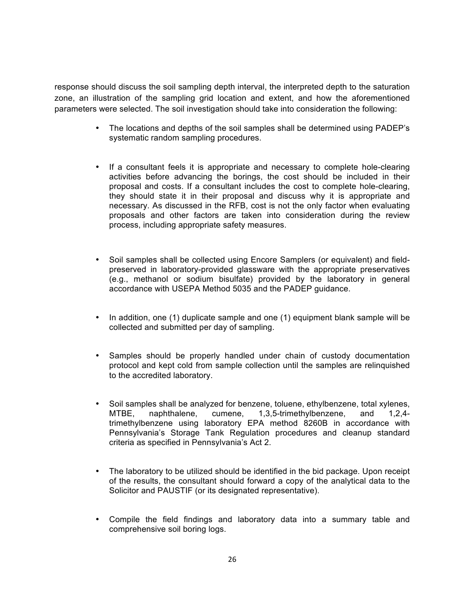response should discuss the soil sampling depth interval, the interpreted depth to the saturation zone, an illustration of the sampling grid location and extent, and how the aforementioned parameters were selected. The soil investigation should take into consideration the following:

- The locations and depths of the soil samples shall be determined using PADEP's systematic random sampling procedures.
- If a consultant feels it is appropriate and necessary to complete hole-clearing activities before advancing the borings, the cost should be included in their proposal and costs. If a consultant includes the cost to complete hole-clearing, they should state it in their proposal and discuss why it is appropriate and necessary. As discussed in the RFB, cost is not the only factor when evaluating proposals and other factors are taken into consideration during the review process, including appropriate safety measures.
- Soil samples shall be collected using Encore Samplers (or equivalent) and fieldpreserved in laboratory-provided glassware with the appropriate preservatives (e.g., methanol or sodium bisulfate) provided by the laboratory in general accordance with USEPA Method 5035 and the PADEP guidance.
- In addition, one (1) duplicate sample and one (1) equipment blank sample will be collected and submitted per day of sampling.
- Samples should be properly handled under chain of custody documentation protocol and kept cold from sample collection until the samples are relinquished to the accredited laboratory.
- Soil samples shall be analyzed for benzene, toluene, ethylbenzene, total xylenes,<br>MTBE, naphthalene, cumene, 1,3,5-trimethylbenzene, and 1,2,4-1,3,5-trimethylbenzene, trimethylbenzene using laboratory EPA method 8260B in accordance with Pennsylvania's Storage Tank Regulation procedures and cleanup standard criteria as specified in Pennsylvania's Act 2.
- The laboratory to be utilized should be identified in the bid package. Upon receipt of the results, the consultant should forward a copy of the analytical data to the Solicitor and PAUSTIF (or its designated representative).
- Compile the field findings and laboratory data into a summary table and comprehensive soil boring logs.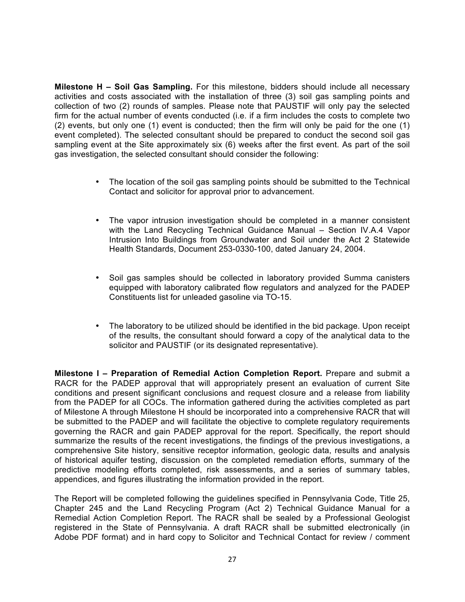**Milestone H – Soil Gas Sampling.** For this milestone, bidders should include all necessary activities and costs associated with the installation of three (3) soil gas sampling points and collection of two (2) rounds of samples. Please note that PAUSTIF will only pay the selected firm for the actual number of events conducted (i.e. if a firm includes the costs to complete two (2) events, but only one (1) event is conducted; then the firm will only be paid for the one (1) event completed). The selected consultant should be prepared to conduct the second soil gas sampling event at the Site approximately six (6) weeks after the first event. As part of the soil gas investigation, the selected consultant should consider the following:

- The location of the soil gas sampling points should be submitted to the Technical Contact and solicitor for approval prior to advancement.
- The vapor intrusion investigation should be completed in a manner consistent with the Land Recycling Technical Guidance Manual – Section IV.A.4 Vapor Intrusion Into Buildings from Groundwater and Soil under the Act 2 Statewide Health Standards, Document 253-0330-100, dated January 24, 2004.
- Soil gas samples should be collected in laboratory provided Summa canisters equipped with laboratory calibrated flow regulators and analyzed for the PADEP Constituents list for unleaded gasoline via TO-15.
- The laboratory to be utilized should be identified in the bid package. Upon receipt of the results, the consultant should forward a copy of the analytical data to the solicitor and PAUSTIF (or its designated representative).

**Milestone I – Preparation of Remedial Action Completion Report.** Prepare and submit a RACR for the PADEP approval that will appropriately present an evaluation of current Site conditions and present significant conclusions and request closure and a release from liability from the PADEP for all COCs. The information gathered during the activities completed as part of Milestone A through Milestone H should be incorporated into a comprehensive RACR that will be submitted to the PADEP and will facilitate the objective to complete regulatory requirements governing the RACR and gain PADEP approval for the report. Specifically, the report should summarize the results of the recent investigations, the findings of the previous investigations, a comprehensive Site history, sensitive receptor information, geologic data, results and analysis of historical aquifer testing, discussion on the completed remediation efforts, summary of the predictive modeling efforts completed, risk assessments, and a series of summary tables, appendices, and figures illustrating the information provided in the report.

The Report will be completed following the guidelines specified in Pennsylvania Code, Title 25, Chapter 245 and the Land Recycling Program (Act 2) Technical Guidance Manual for a Remedial Action Completion Report. The RACR shall be sealed by a Professional Geologist registered in the State of Pennsylvania. A draft RACR shall be submitted electronically (in Adobe PDF format) and in hard copy to Solicitor and Technical Contact for review / comment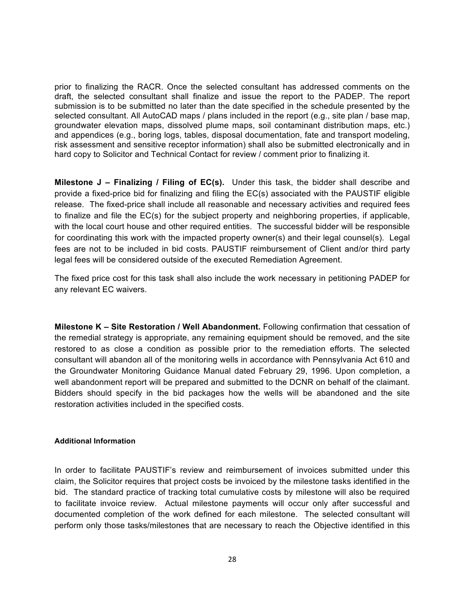prior to finalizing the RACR. Once the selected consultant has addressed comments on the draft, the selected consultant shall finalize and issue the report to the PADEP. The report submission is to be submitted no later than the date specified in the schedule presented by the selected consultant. All AutoCAD maps / plans included in the report (e.g., site plan / base map, groundwater elevation maps, dissolved plume maps, soil contaminant distribution maps, etc.) and appendices (e.g., boring logs, tables, disposal documentation, fate and transport modeling, risk assessment and sensitive receptor information) shall also be submitted electronically and in hard copy to Solicitor and Technical Contact for review / comment prior to finalizing it.

**Milestone J – Finalizing / Filing of EC(s).** Under this task, the bidder shall describe and provide a fixed-price bid for finalizing and filing the EC(s) associated with the PAUSTIF eligible release. The fixed-price shall include all reasonable and necessary activities and required fees to finalize and file the EC(s) for the subject property and neighboring properties, if applicable, with the local court house and other required entities. The successful bidder will be responsible for coordinating this work with the impacted property owner(s) and their legal counsel(s). Legal fees are not to be included in bid costs. PAUSTIF reimbursement of Client and/or third party legal fees will be considered outside of the executed Remediation Agreement.

The fixed price cost for this task shall also include the work necessary in petitioning PADEP for any relevant EC waivers.

**Milestone K – Site Restoration / Well Abandonment.** Following confirmation that cessation of the remedial strategy is appropriate, any remaining equipment should be removed, and the site restored to as close a condition as possible prior to the remediation efforts. The selected consultant will abandon all of the monitoring wells in accordance with Pennsylvania Act 610 and the Groundwater Monitoring Guidance Manual dated February 29, 1996. Upon completion, a well abandonment report will be prepared and submitted to the DCNR on behalf of the claimant. Bidders should specify in the bid packages how the wells will be abandoned and the site restoration activities included in the specified costs.

### **Additional Information**

In order to facilitate PAUSTIF's review and reimbursement of invoices submitted under this claim, the Solicitor requires that project costs be invoiced by the milestone tasks identified in the bid. The standard practice of tracking total cumulative costs by milestone will also be required to facilitate invoice review. Actual milestone payments will occur only after successful and documented completion of the work defined for each milestone. The selected consultant will perform only those tasks/milestones that are necessary to reach the Objective identified in this